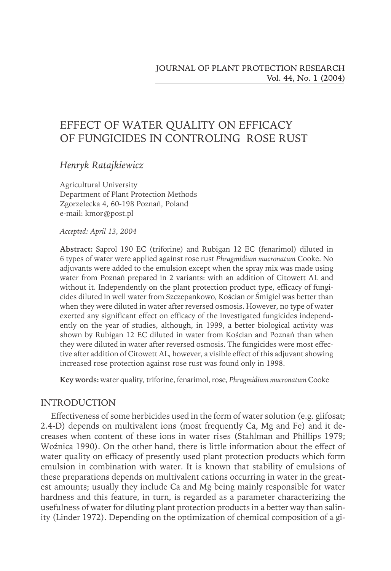# EFFECT OF WATER QUALITY ON EFFICACY OF FUNGICIDES IN CONTROLING ROSE RUST

*Henryk Ratajkiewicz*

Agricultural University Department of Plant Protection Methods Zgorzelecka 4, 60-198 Poznań, Poland e-mail: kmor@post.pl

*Accepted: April 13, 2004*

**Abstract:** Saprol 190 EC (triforine) and Rubigan 12 EC (fenarimol) diluted in 6 types of water were applied against rose rust *Phragmidium mucronatum* Cooke. No adjuvants were added to the emulsion except when the spray mix was made using water from Poznań prepared in 2 variants: with an addition of Citowett AL and without it. Independently on the plant protection product type, efficacy of fungicides diluted in well water from Szczepankowo, Kościan or Śmigiel was better than when they were diluted in water after reversed osmosis. However, no type of water exerted any significant effect on efficacy of the investigated fungicides independently on the year of studies, although, in 1999, a better biological activity was shown by Rubigan 12 EC diluted in water from Kościan and Poznań than when they were diluted in water after reversed osmosis. The fungicides were most effective after addition of Citowett AL, however, a visible effect of this adjuvant showing increased rose protection against rose rust was found only in 1998.

**Key words:** water quality, triforine, fenarimol, rose, *Phragmidium mucronatum* Cooke

# INTRODUCTION

Effectiveness of some herbicides used in the form of water solution (e.g. glifosat; 2.4-D) depends on multivalent ions (most frequently Ca, Mg and Fe) and it decreases when content of these ions in water rises (Stahlman and Phillips 1979; Woźnica 1990). On the other hand, there is little information about the effect of water quality on efficacy of presently used plant protection products which form emulsion in combination with water. It is known that stability of emulsions of these preparations depends on multivalent cations occurring in water in the greatest amounts; usually they include Ca and Mg being mainly responsible for water hardness and this feature, in turn, is regarded as a parameter characterizing the usefulness of water for diluting plant protection products in a better way than salinity (Linder 1972). Depending on the optimization of chemical composition of a gi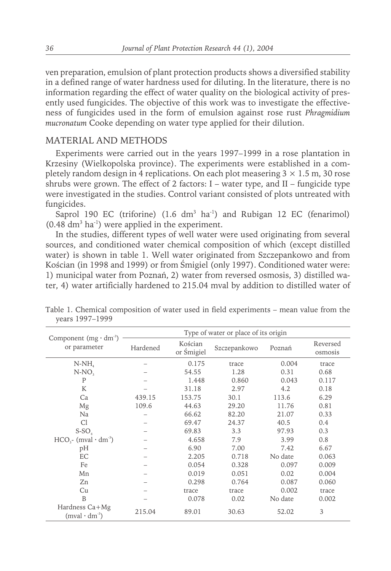ven preparation, emulsion of plant protection products shows a diversified stability in a defined range of water hardness used for diluting. In the literature, there is no information regarding the effect of water quality on the biological activity of presently used fungicides. The objective of this work was to investigate the effectiveness of fungicides used in the form of emulsion against rose rust *Phragmidium mucronatum* Cooke depending on water type applied for their dilution.

#### MATERIAL AND METHODS

Experiments were carried out in the years 1997–1999 in a rose plantation in Krzesiny (Wielkopolska province). The experiments were established in a completely random design in 4 replications. On each plot measering  $3 \times 1.5$  m, 30 rose shrubs were grown. The effect of 2 factors:  $I$  – water type, and  $II$  – fungicide type were investigated in the studies. Control variant consisted of plots untreated with fungicides.

Saprol 190 EC (triforine)  $(1.6 \text{ dm}^3 \text{ ha}^{-1})$  and Rubigan 12 EC (fenarimol)  $(0.48 \text{ dm}^3 \text{ ha}^{-1})$  were applied in the experiment.

In the studies, different types of well water were used originating from several sources, and conditioned water chemical composition of which (except distilled water) is shown in table 1. Well water originated from Szczepankowo and from Kościan (in 1998 and 1999) or from Śmigiel (only 1997). Conditioned water were: 1) municipal water from Poznań, 2) water from reversed osmosis, 3) distilled water, 4) water artificially hardened to 215.04 mval by addition to distilled water of

| Component $(mg \cdot dm^3)$<br>or parameter | Type of water or place of its origin |                       |              |         |                     |  |
|---------------------------------------------|--------------------------------------|-----------------------|--------------|---------|---------------------|--|
|                                             | Hardened                             | Kościan<br>or Śmigiel | Szczepankowo | Poznań  | Reversed<br>osmosis |  |
| N-NH                                        |                                      | 0.175                 | trace        | 0.004   | trace               |  |
| $N-NO3$                                     |                                      | 54.55                 | 1.28         | 0.31    | 0.68                |  |
| P                                           |                                      | 1.448                 | 0.860        | 0.043   | 0.117               |  |
| K                                           |                                      | 31.18                 | 2.97         | 4.2     | 0.18                |  |
| Ca                                          | 439.15                               | 153.75                | 30.1         | 113.6   | 6.29                |  |
| Mg                                          | 109.6                                | 44.63                 | 29.20        | 11.76   | 0.81                |  |
| Na                                          |                                      | 66.62                 | 82.20        | 21.07   | 0.33                |  |
| Cl                                          |                                      | 69.47                 | 24.37        | 40.5    | 0.4                 |  |
| $S-SO4$                                     |                                      | 69.83                 | 3.3          | 97.93   | 0.3                 |  |
| $HCOz$ (mval $\cdot$ dm <sup>-3</sup> )     |                                      | 4.658                 | 7.9          | 3.99    | 0.8                 |  |
| pH                                          |                                      | 6.90                  | 7.00         | 7.42    | 6.67                |  |
| EC                                          |                                      | 2.205                 | 0.718        | No date | 0.063               |  |
| Fe                                          |                                      | 0.054                 | 0.328        | 0.097   | 0.009               |  |
| Mn                                          |                                      | 0.019                 | 0.051        | 0.02    | 0.004               |  |
| Zn                                          |                                      | 0.298                 | 0.764        | 0.087   | 0.060               |  |
| Cи                                          |                                      | trace                 | trace        | 0.002   | trace               |  |
| B                                           |                                      | 0.078                 | 0.02         | No date | 0.002               |  |
| Hardness Ca+Mg<br>$(mval \cdot dm^3)$       | 215.04                               | 89.01                 | 30.63        | 52.02   | 3                   |  |

Table 1. Chemical composition of water used in field experiments – mean value from the years 1997–1999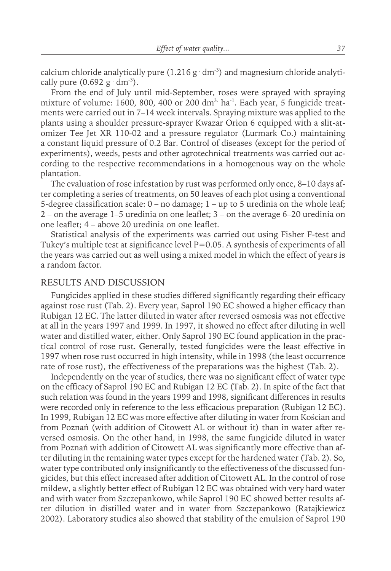calcium chloride analytically pure  $(1.216 \text{ g} \cdot \text{dm}^3)$  and magnesium chloride analytically pure  $(0.692 \text{ g} \cdot \text{dm}^3)$ .

From the end of July until mid-September, roses were sprayed with spraying mixture of volume: 1600, 800, 400 or 200 dm<sup>3</sup> ha<sup>-1</sup>. Each year, 5 fungicide treatments were carried out in 7–14 week intervals. Spraying mixture was applied to the plants using a shoulder pressure-sprayer Kwazar Orion 6 equipped with a slit-atomizer Tee Jet XR 110-02 and a pressure regulator (Lurmark Co.) maintaining a constant liquid pressure of 0.2 Bar. Control of diseases (except for the period of experiments), weeds, pests and other agrotechnical treatments was carried out according to the respective recommendations in a homogenous way on the whole plantation.

The evaluation of rose infestation by rust was performed only once, 8–10 days after completing a series of treatments, on 50 leaves of each plot using a conventional 5-degree classification scale:  $0 -$  no damage;  $1 -$  up to 5 uredinia on the whole leaf; 2 – on the average 1–5 uredinia on one leaflet; 3 – on the average 6–20 uredinia on one leaflet; 4 – above 20 uredinia on one leaflet.

Statistical analysis of the experiments was carried out using Fisher F-test and Tukey's multiple test at significance level  $P=0.05$ . A synthesis of experiments of all the years was carried out as well using a mixed model in which the effect of years is a random factor.

#### RESULTS AND DISCUSSION

Fungicides applied in these studies differed significantly regarding their efficacy against rose rust (Tab. 2). Every year, Saprol 190 EC showed a higher efficacy than Rubigan 12 EC. The latter diluted in water after reversed osmosis was not effective at all in the years 1997 and 1999. In 1997, it showed no effect after diluting in well water and distilled water, either. Only Saprol 190 EC found application in the practical control of rose rust. Generally, tested fungicides were the least effective in 1997 when rose rust occurred in high intensity, while in 1998 (the least occurrence rate of rose rust), the effectiveness of the preparations was the highest (Tab. 2).

Independently on the year of studies, there was no significant effect of water type on the efficacy of Saprol 190 EC and Rubigan 12 EC (Tab. 2). In spite of the fact that such relation was found in the years 1999 and 1998, significant differences in results were recorded only in reference to the less efficacious preparation (Rubigan 12 EC). In 1999, Rubigan 12 EC was more effective after diluting in water from Kościan and from Poznań (with addition of Citowett AL or without it) than in water after reversed osmosis. On the other hand, in 1998, the same fungicide diluted in water from Poznań with addition of Citowett AL was significantly more effective than after diluting in the remaining water types except for the hardened water (Tab. 2). So, water type contributed only insignificantly to the effectiveness of the discussed fungicides, but this effect increased after addition of Citowett AL. In the control of rose mildew, a slightly better effect of Rubigan 12 EC was obtained with very hard water and with water from Szczepankowo, while Saprol 190 EC showed better results after dilution in distilled water and in water from Szczepankowo (Ratajkiewicz 2002). Laboratory studies also showed that stability of the emulsion of Saprol 190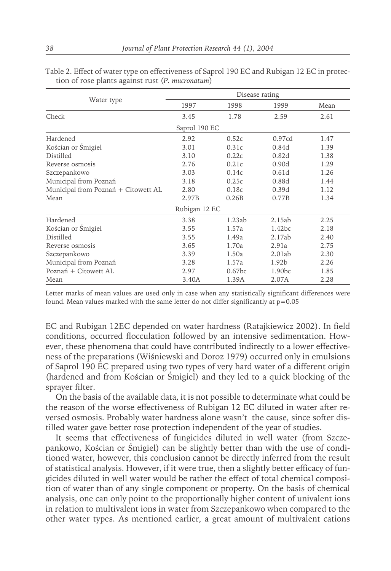|                                     | Disease rating |                    |                   |              |  |
|-------------------------------------|----------------|--------------------|-------------------|--------------|--|
| Water type                          | 1997<br>3.45   | 1998<br>1.78       | 1999<br>2.59      | Mean<br>2.61 |  |
| Check                               |                |                    |                   |              |  |
|                                     | Saprol 190 EC  |                    |                   |              |  |
| Hardened                            | 2.92           | 0.52c              | 0.97cd            | 1.47         |  |
| Kościan or Śmigiel                  | 3.01           | 0.31c              | 0.84d             | 1.39         |  |
| Distilled                           | 3.10           | 0.22c              | 0.82d             | 1.38         |  |
| Reverse osmosis                     | 2.76           | 0.21c              | 0.90d             | 1.29         |  |
| Szczepankowo                        | 3.03           | 0.14c              | 0.61d             | 1.26         |  |
| Municipal from Poznań               | 3.18           | 0.25c              | 0.88d             | 1.44         |  |
| Municipal from Poznań + Citowett AL | 2.80           | 0.18c              | 0.39d             | 1.12         |  |
| Mean                                | 2.97B          | 0.26B              | 0.77B             | 1.34         |  |
|                                     | Rubigan 12 EC  |                    |                   |              |  |
| Hardened                            | 3.38           | 1.23ab             | 2.15ab            | 2.25         |  |
| Kościan or Śmigiel                  | 3.55           | 1.57a              | 1.42bc            | 2.18         |  |
| Distilled                           | 3.55           | 1.49a              | 2.17ab            | 2.40         |  |
| Reverse osmosis                     | 3.65           | 1.70a              | 2.91a             | 2.75         |  |
| Szczepankowo                        | 3.39           | 1.50a              | 2.01ab            | 2.30         |  |
| Municipal from Poznań               | 3.28           | 1.57a              | 1.92 <sub>b</sub> | 2.26         |  |
| Poznań + Citowett AL                | 2.97           | 0.67 <sub>bc</sub> | 1.90bc            | 1.85         |  |
| Mean                                | 3.40A          | 1.39A              | 2.07A             | 2.28         |  |

Table 2. Effect of water type on effectiveness of Saprol 190 EC and Rubigan 12 EC in protection of rose plants against rust (*P. mucronatum*)

Letter marks of mean values are used only in case when any statistically significant differences were found. Mean values marked with the same letter do not differ significantly at  $p=0.05$ 

EC and Rubigan 12EC depended on water hardness (Ratajkiewicz 2002). In field conditions, occurred flocculation followed by an intensive sedimentation. However, these phenomena that could have contributed indirectly to a lower effectiveness of the preparations (Wiśniewski and Doroz 1979) occurred only in emulsions of Saprol 190 EC prepared using two types of very hard water of a different origin (hardened and from Kościan or Śmigiel) and they led to a quick blocking of the sprayer filter.

On the basis of the available data, it is not possible to determinate what could be the reason of the worse effectiveness of Rubigan 12 EC diluted in water after reversed osmosis. Probably water hardness alone wasn't the cause, since softer distilled water gave better rose protection independent of the year of studies.

It seems that effectiveness of fungicides diluted in well water (from Szczepankowo, Kościan or Śmigiel) can be slightly better than with the use of conditioned water, however, this conclusion cannot be directly inferred from the result of statistical analysis. However, if it were true, then a slightly better efficacy of fungicides diluted in well water would be rather the effect of total chemical composition of water than of any single component or property. On the basis of chemical analysis, one can only point to the proportionally higher content of univalent ions in relation to multivalent ions in water from Szczepankowo when compared to the other water types. As mentioned earlier, a great amount of multivalent cations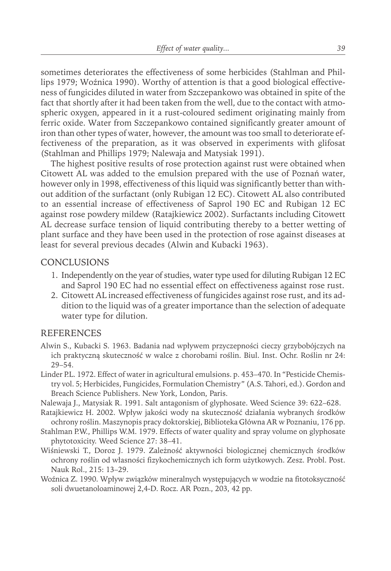sometimes deteriorates the effectiveness of some herbicides (Stahlman and Phillips 1979; Woźnica 1990). Worthy of attention is that a good biological effectiveness of fungicides diluted in water from Szczepankowo was obtained in spite of the fact that shortly after it had been taken from the well, due to the contact with atmospheric oxygen, appeared in it a rust-coloured sediment originating mainly from ferric oxide. Water from Szczepankowo contained significantly greater amount of iron than other types of water, however, the amount was too small to deteriorate effectiveness of the preparation, as it was observed in experiments with glifosat (Stahlman and Phillips 1979; Nalewaja and Matysiak 1991).

The highest positive results of rose protection against rust were obtained when Citowett AL was added to the emulsion prepared with the use of Poznań water, however only in 1998, effectiveness of this liquid was significantly better than without addition of the surfactant (only Rubigan 12 EC). Citowett AL also contributed to an essential increase of effectiveness of Saprol 190 EC and Rubigan 12 EC against rose powdery mildew (Ratajkiewicz 2002). Surfactants including Citowett AL decrease surface tension of liquid contributing thereby to a better wetting of plant surface and they have been used in the protection of rose against diseases at least for several previous decades (Alwin and Kubacki 1963).

## **CONCLUSIONS**

- 1. Independently on the year of studies, water type used for diluting Rubigan 12 EC and Saprol 190 EC had no essential effect on effectiveness against rose rust.
- 2. Citowett AL increased effectiveness of fungicides against rose rust, and its addition to the liquid was of a greater importance than the selection of adequate water type for dilution.

### REFERENCES

- Alwin S., Kubacki S. 1963. Badania nad wpływem przyczepności cieczy grzybobójczych na ich praktyczną skuteczność w walce z chorobami roślin. Biul. Inst. Ochr. Roślin nr 24: 29–54.
- Linder P.L. 1972. Effect of water in agricultural emulsions. p. 453–470. In "Pesticide Chemistry vol. 5; Herbicides, Fungicides, Formulation Chemistry" (A.S. Tahori, ed.). Gordon and Breach Science Publishers. New York, London, Paris.

Nalewaja J., Matysiak R. 1991. Salt antagonism of glyphosate. Weed Science 39: 622–628.

- Ratajkiewicz H. 2002. Wpływ jakości wody na skuteczność działania wybranych środków ochrony roślin. Maszynopis pracy doktorskiej, Biblioteka Główna AR w Poznaniu, 176 pp.
- Stahlman P.W., Phillips W.M. 1979. Effects of water quality and spray volume on glyphosate phytotoxicity. Weed Science 27: 38–41.
- Wiśniewski T., Doroz J. 1979. Zależność aktywności biologicznej chemicznych środków ochrony roślin od własności fizykochemicznych ich form użytkowych. Zesz. Probl. Post. Nauk Rol., 215: 13–29.
- Woźnica Z. 1990. Wpływ związków mineralnych występujących w wodzie na fitotoksyczność soli dwuetanoloaminowej 2,4-D. Rocz. AR Pozn., 203, 42 pp.